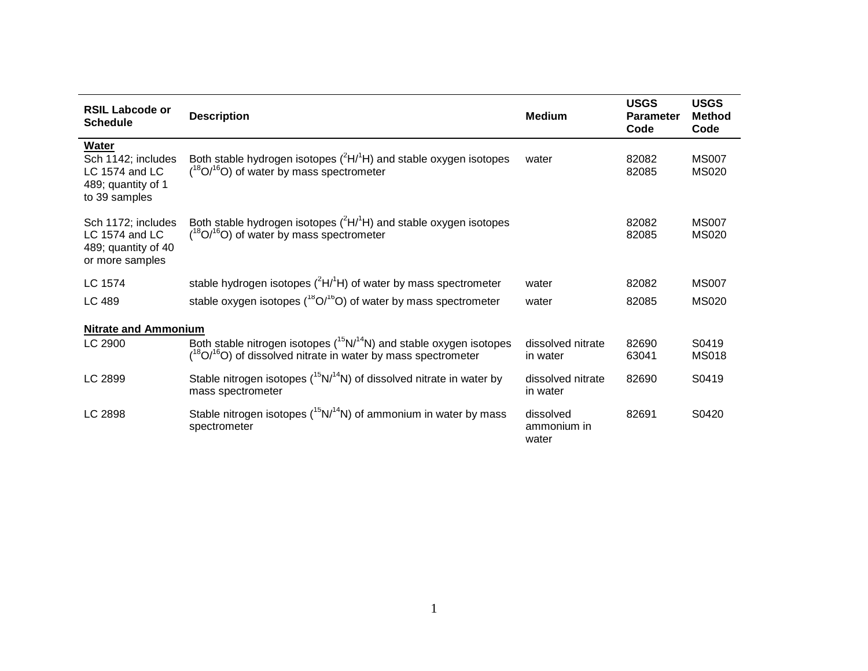| <b>RSIL Labcode or</b><br><b>Schedule</b>                                            | <b>Description</b>                                                                                                                                 | <b>Medium</b>                     | <b>USGS</b><br><b>Parameter</b><br>Code | <b>USGS</b><br><b>Method</b><br>Code |  |  |  |
|--------------------------------------------------------------------------------------|----------------------------------------------------------------------------------------------------------------------------------------------------|-----------------------------------|-----------------------------------------|--------------------------------------|--|--|--|
| Water<br>Sch 1142; includes<br>LC 1574 and LC<br>489; quantity of 1<br>to 39 samples | Both stable hydrogen isotopes $(^{2}H/^{1}H)$ and stable oxygen isotopes<br>$(^{18}O/^{16}O)$ of water by mass spectrometer                        | water                             | 82082<br>82085                          | <b>MS007</b><br><b>MS020</b>         |  |  |  |
| Sch 1172; includes<br>LC 1574 and LC<br>489; quantity of 40<br>or more samples       | Both stable hydrogen isotopes $(^{2}H/^{1}H)$ and stable oxygen isotopes<br>$(^{18}O/^{16}O)$ of water by mass spectrometer                        |                                   | 82082<br>82085                          | <b>MS007</b><br><b>MS020</b>         |  |  |  |
| LC 1574                                                                              | stable hydrogen isotopes $(^{2}H/^{1}H)$ of water by mass spectrometer                                                                             | water                             | 82082                                   | <b>MS007</b>                         |  |  |  |
| LC 489                                                                               | stable oxygen isotopes $(^{18}O/^{16}O)$ of water by mass spectrometer                                                                             | water                             | 82085                                   | <b>MS020</b>                         |  |  |  |
| <b>Nitrate and Ammonium</b>                                                          |                                                                                                                                                    |                                   |                                         |                                      |  |  |  |
| LC 2900                                                                              | Both stable nitrogen isotopes $(^{15}N/^{14}N)$ and stable oxygen isotopes<br>$(^{18}O/^{16}O)$ of dissolved nitrate in water by mass spectrometer | dissolved nitrate<br>in water     | 82690<br>63041                          | S0419<br><b>MS018</b>                |  |  |  |
| LC 2899                                                                              | Stable nitrogen isotopes $(^{15}N/^{14}N)$ of dissolved nitrate in water by<br>mass spectrometer                                                   | dissolved nitrate<br>in water     | 82690                                   | S0419                                |  |  |  |
| LC 2898                                                                              | Stable nitrogen isotopes $(^{15}N/^{14}N)$ of ammonium in water by mass<br>spectrometer                                                            | dissolved<br>ammonium in<br>water | 82691                                   | S0420                                |  |  |  |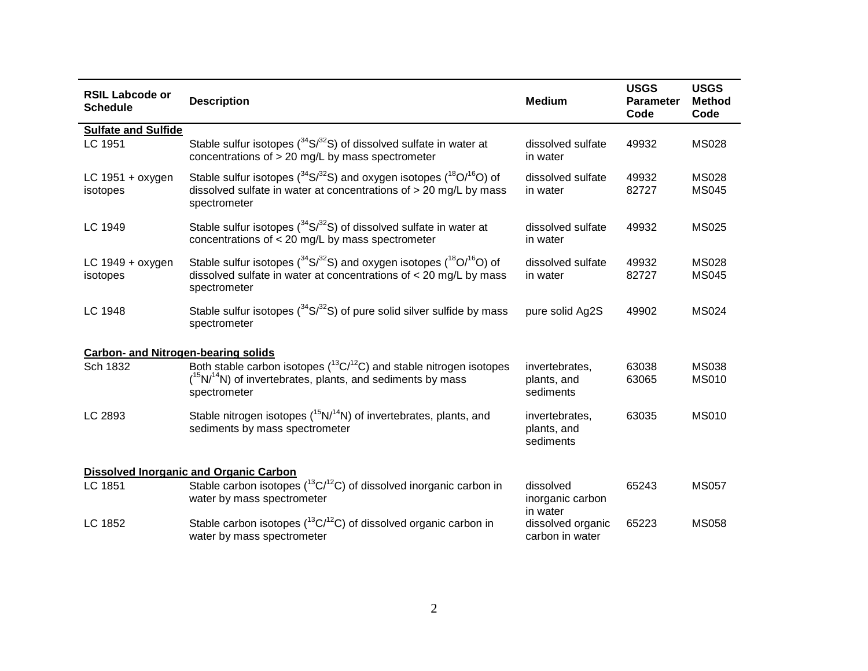| <b>RSIL Labcode or</b><br><b>Schedule</b>  | <b>Description</b>                                                                                                                                                                           | <b>Medium</b>                              | <b>USGS</b><br>Parameter<br>Code | <b>USGS</b><br><b>Method</b><br>Code |
|--------------------------------------------|----------------------------------------------------------------------------------------------------------------------------------------------------------------------------------------------|--------------------------------------------|----------------------------------|--------------------------------------|
| <b>Sulfate and Sulfide</b>                 |                                                                                                                                                                                              |                                            |                                  |                                      |
| LC 1951                                    | Stable sulfur isotopes $(^{34}S/^{32}S)$ of dissolved sulfate in water at<br>concentrations of $> 20$ mg/L by mass spectrometer                                                              | dissolved sulfate<br>in water              | 49932                            | <b>MS028</b>                         |
| LC 1951 + oxygen<br>isotopes               | Stable sulfur isotopes ( $34$ S/ $32$ S) and oxygen isotopes ( $18$ O/ $16$ O) of<br>dissolved sulfate in water at concentrations of $>$ 20 mg/L by mass<br>spectrometer                     | dissolved sulfate<br>in water              | 49932<br>82727                   | <b>MS028</b><br><b>MS045</b>         |
| LC 1949                                    | Stable sulfur isotopes $(^{34}S/^{32}S)$ of dissolved sulfate in water at<br>concentrations of $<$ 20 mg/L by mass spectrometer                                                              | dissolved sulfate<br>in water              | 49932                            | <b>MS025</b>                         |
| LC $1949 +$ oxygen<br>isotopes             | Stable sulfur isotopes ( $34\text{S}/32\text{S}$ ) and oxygen isotopes ( $18\text{O}/16\text{O}$ ) of<br>dissolved sulfate in water at concentrations of $<$ 20 mg/L by mass<br>spectrometer | dissolved sulfate<br>in water              | 49932<br>82727                   | <b>MS028</b><br><b>MS045</b>         |
| LC 1948                                    | Stable sulfur isotopes $(^{34}S/^{32}S)$ of pure solid silver sulfide by mass<br>spectrometer                                                                                                | pure solid Ag2S                            | 49902                            | <b>MS024</b>                         |
| <b>Carbon- and Nitrogen-bearing solids</b> |                                                                                                                                                                                              |                                            |                                  |                                      |
| Sch 1832                                   | Both stable carbon isotopes $(^{13}C/^{12}C)$ and stable nitrogen isotopes<br>$(^{15}N/^{14}N)$ of invertebrates, plants, and sediments by mass<br>spectrometer                              | invertebrates,<br>plants, and<br>sediments | 63038<br>63065                   | <b>MS038</b><br><b>MS010</b>         |
| LC 2893                                    | Stable nitrogen isotopes $(^{15}N/^{14}N)$ of invertebrates, plants, and<br>sediments by mass spectrometer                                                                                   | invertebrates,<br>plants, and<br>sediments | 63035                            | <b>MS010</b>                         |
|                                            | <b>Dissolved Inorganic and Organic Carbon</b>                                                                                                                                                |                                            |                                  |                                      |
| LC 1851                                    | Stable carbon isotopes ( ${}^{13}C/{}^{12}C$ ) of dissolved inorganic carbon in<br>water by mass spectrometer                                                                                | dissolved<br>inorganic carbon<br>in water  | 65243                            | <b>MS057</b>                         |
| LC 1852                                    | Stable carbon isotopes $(^{13}C^{12}C)$ of dissolved organic carbon in<br>water by mass spectrometer                                                                                         | dissolved organic<br>carbon in water       | 65223                            | <b>MS058</b>                         |